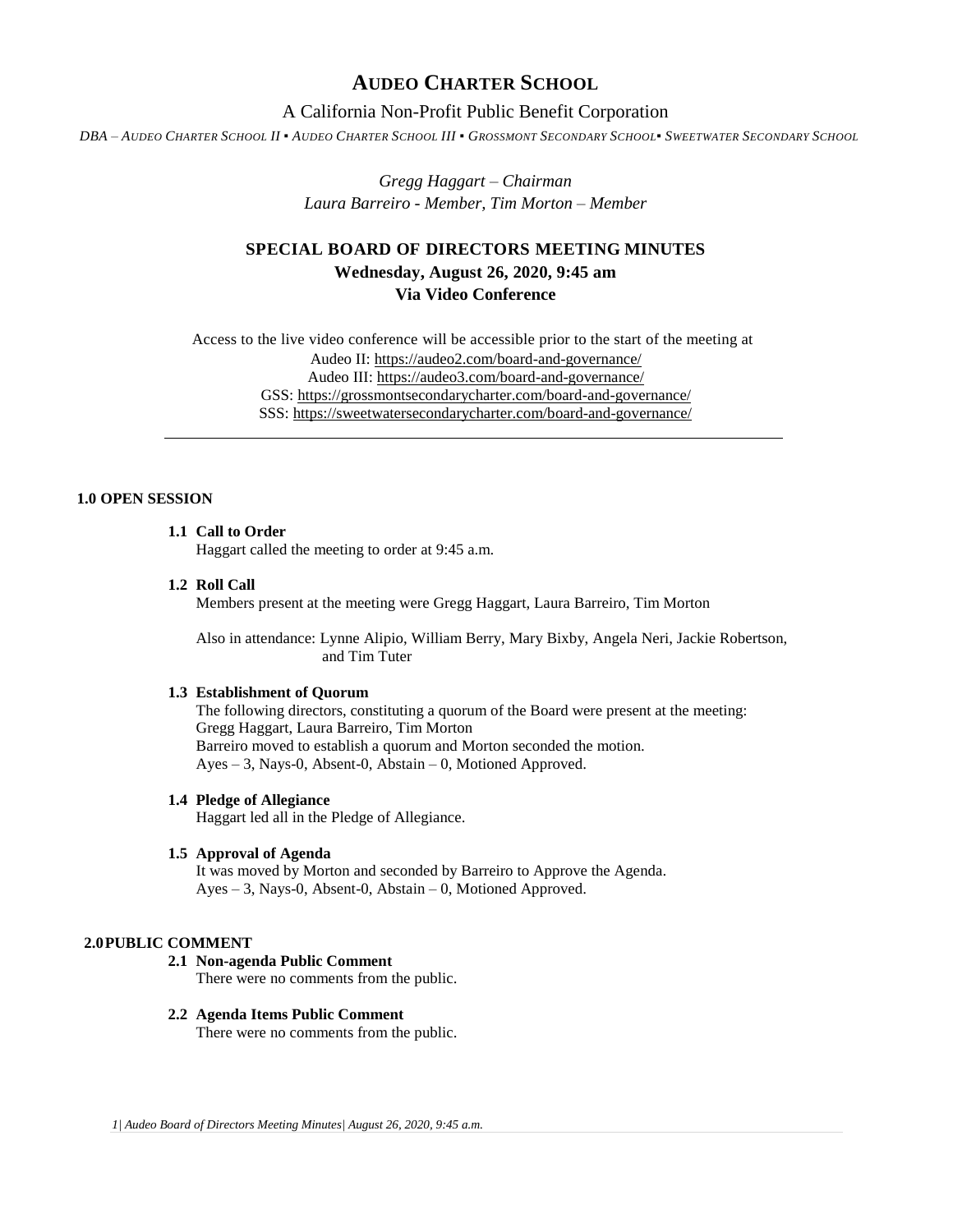# **AUDEO CHARTER SCHOOL**

# A California Non-Profit Public Benefit Corporation

DBA - AUDEO CHARTER SCHOOL II . AUDEO CHARTER SCHOOL III . GROSSMONT SECONDARY SCHOOL. SWEETWATER SECONDARY SCHOOL

*Gregg Haggart – Chairman Laura Barreiro - Member, Tim Morton – Member*

# **SPECIAL BOARD OF DIRECTORS MEETING MINUTES Wednesday, August 26, 2020, 9:45 am Via Video Conference**

Access to the live video conference will be accessible prior to the start of the meeting at Audeo II[: https://audeo2.com/board-and-governance/](https://audeo2.com/board-and-governance/) Audeo III:<https://audeo3.com/board-and-governance/> GSS:<https://grossmontsecondarycharter.com/board-and-governance/> SSS:<https://sweetwatersecondarycharter.com/board-and-governance/>

# **1.0 OPEN SESSION**

## **1.1 Call to Order**

Haggart called the meeting to order at 9:45 a.m.

#### **1.2 Roll Call**

Members present at the meeting were Gregg Haggart, Laura Barreiro, Tim Morton

Also in attendance: Lynne Alipio, William Berry, Mary Bixby, Angela Neri, Jackie Robertson, and Tim Tuter

## **1.3 Establishment of Quorum**

The following directors, constituting a quorum of the Board were present at the meeting: Gregg Haggart, Laura Barreiro, Tim Morton Barreiro moved to establish a quorum and Morton seconded the motion. Ayes – 3, Nays-0, Absent-0, Abstain – 0, Motioned Approved.

#### **1.4 Pledge of Allegiance**

Haggart led all in the Pledge of Allegiance.

## **1.5 Approval of Agenda**

It was moved by Morton and seconded by Barreiro to Approve the Agenda. Ayes – 3, Nays-0, Absent-0, Abstain – 0, Motioned Approved.

### **2.0PUBLIC COMMENT**

## **2.1 Non-agenda Public Comment**

There were no comments from the public.

**2.2 Agenda Items Public Comment** There were no comments from the public.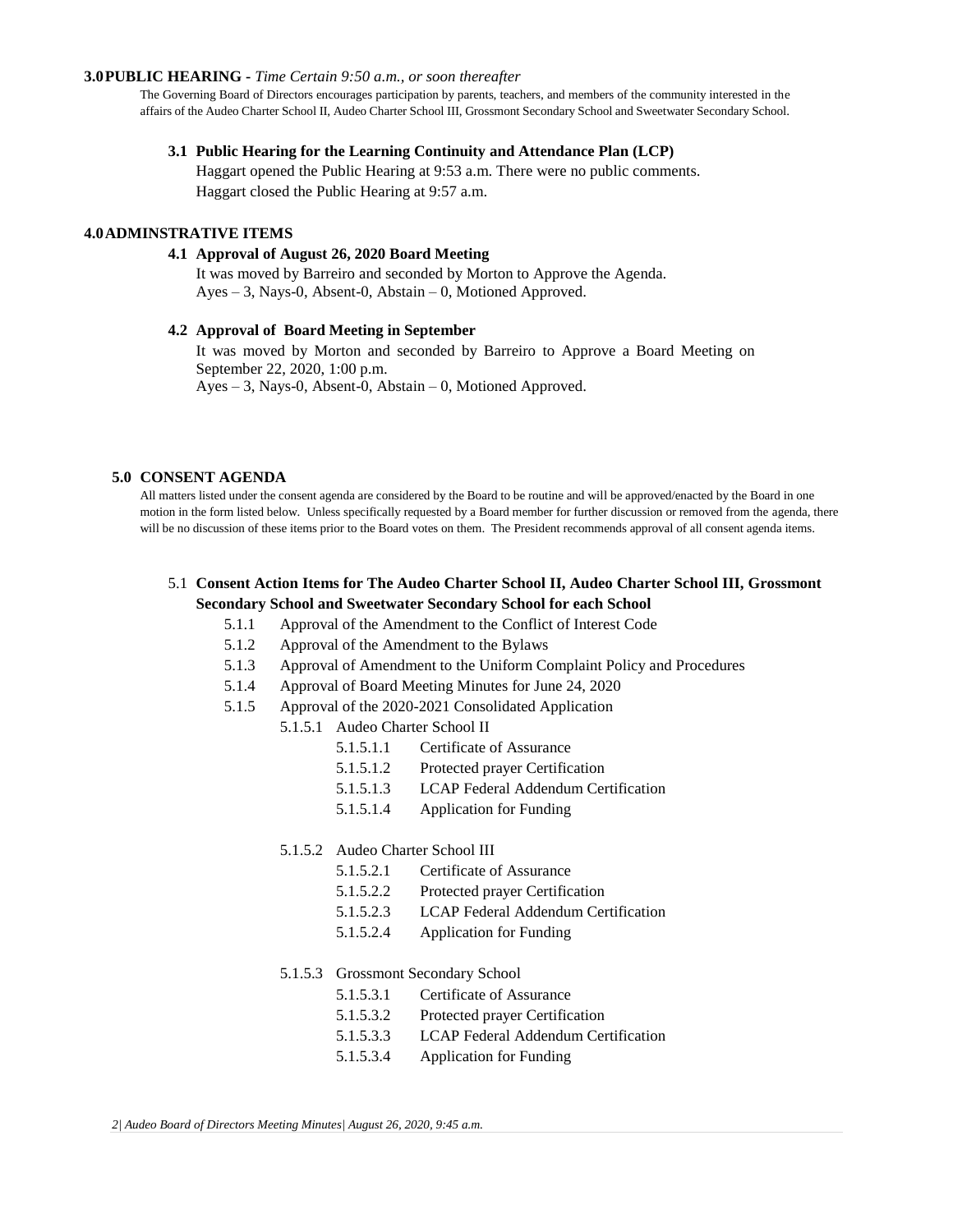#### **3.0PUBLIC HEARING -** *Time Certain 9:50 a.m., or soon thereafter*

The Governing Board of Directors encourages participation by parents, teachers, and members of the community interested in the affairs of the Audeo Charter School II, Audeo Charter School III, Grossmont Secondary School and Sweetwater Secondary School.

#### **3.1 Public Hearing for the Learning Continuity and Attendance Plan (LCP)**

Haggart opened the Public Hearing at 9:53 a.m. There were no public comments. Haggart closed the Public Hearing at 9:57 a.m.

## **4.0ADMINSTRATIVE ITEMS**

#### **4.1 Approval of August 26, 2020 Board Meeting**

It was moved by Barreiro and seconded by Morton to Approve the Agenda. Ayes – 3, Nays-0, Absent-0, Abstain – 0, Motioned Approved.

#### **4.2 Approval of Board Meeting in September**

It was moved by Morton and seconded by Barreiro to Approve a Board Meeting on September 22, 2020, 1:00 p.m. Ayes – 3, Nays-0, Absent-0, Abstain – 0, Motioned Approved.

#### **5.0 CONSENT AGENDA**

All matters listed under the consent agenda are considered by the Board to be routine and will be approved/enacted by the Board in one motion in the form listed below. Unless specifically requested by a Board member for further discussion or removed from the agenda, there will be no discussion of these items prior to the Board votes on them. The President recommends approval of all consent agenda items.

# 5.1 **Consent Action Items for The Audeo Charter School II, Audeo Charter School III, Grossmont Secondary School and Sweetwater Secondary School for each School**

- 5.1.1 Approval of the Amendment to the Conflict of Interest Code
- 5.1.2 Approval of the Amendment to the Bylaws
- 5.1.3 Approval of Amendment to the Uniform Complaint Policy and Procedures
- 5.1.4 Approval of Board Meeting Minutes for June 24, 2020
- 5.1.5 Approval of the 2020-2021 Consolidated Application
	- 5.1.5.1 Audeo Charter School II
		- 5.1.5.1.1 Certificate of Assurance
		- 5.1.5.1.2 Protected prayer Certification
		- 5.1.5.1.3 LCAP Federal Addendum Certification
		- 5.1.5.1.4 Application for Funding

## 5.1.5.2 Audeo Charter School III

- 5.1.5.2.1 Certificate of Assurance
- 5.1.5.2.2 Protected prayer Certification
- 5.1.5.2.3 LCAP Federal Addendum Certification
- 5.1.5.2.4 Application for Funding

## 5.1.5.3 Grossmont Secondary School

- 5.1.5.3.1 Certificate of Assurance
- 5.1.5.3.2 Protected prayer Certification
- 5.1.5.3.3 LCAP Federal Addendum Certification
- 5.1.5.3.4 Application for Funding